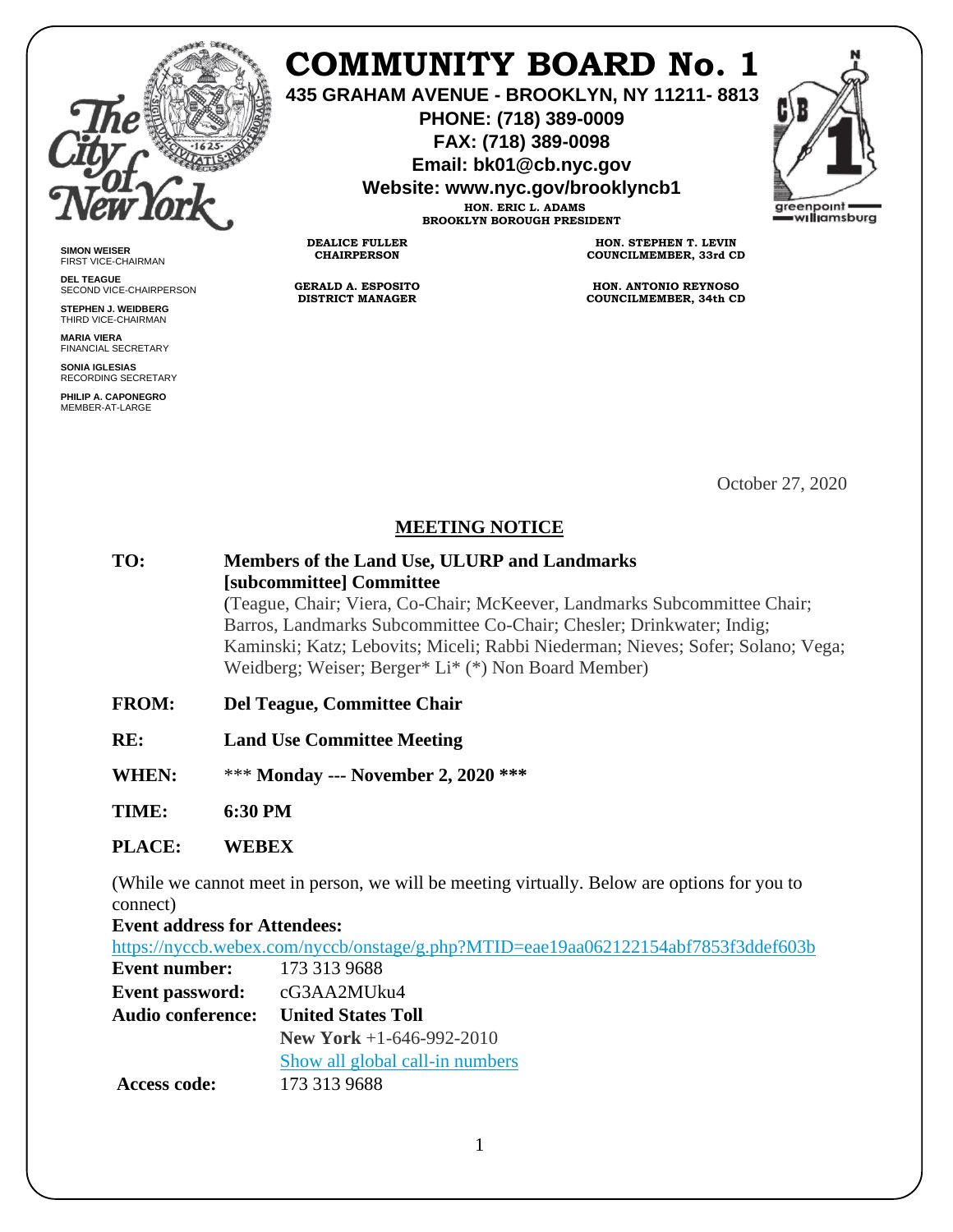

**SIMON WEISER** FIRST VICE-CHAIRMAN **DEL TEAGUE**

SECOND VICE-CHAIRPERSON **STEPHEN J. WEIDBERG** THIRD VICE-CHAIRMAN **MARIA VIERA** FINANCIAL SECRETARY **SONIA IGLESIAS** RECORDING SECRETARY **PHILIP A. CAPONEGRO** MEMBER-AT-LARGE

## **COMMUNITY BOARD No. 1**

**435 GRAHAM AVENUE - BROOKLYN, NY 11211- 8813**

**PHONE: (718) 389-0009 FAX: (718) 389-0098**

**Email: bk01@cb.nyc.gov**

**Website: www.nyc.gov/brooklyncb1**

**HON. ERIC L. ADAMS BROOKLYN BOROUGH PRESIDENT**

**DEALICE FULLER CHAIRPERSON**

**GERALD A. ESPOSITO DISTRICT MANAGER**

**HON. STEPHEN T. LEVIN COUNCILMEMBER, 33rd CD**

**HON. ANTONIO REYNOSO COUNCILMEMBER, 34th CD**

October 27, 2020

## **MEETING NOTICE**

**TO: Members of the Land Use, ULURP and Landmarks [subcommittee] Committee** (Teague, Chair; Viera, Co-Chair; McKeever, Landmarks Subcommittee Chair; Barros, Landmarks Subcommittee Co-Chair; Chesler; Drinkwater; Indig; Kaminski; Katz; Lebovits; Miceli; Rabbi Niederman; Nieves; Sofer; Solano; Vega; Weidberg; Weiser; Berger\* Li\* (\*) Non Board Member)

- **FROM: Del Teague, Committee Chair**
- **RE: Land Use Committee Meeting**
- **WHEN:** \*\*\* **Monday --- November 2, 2020 \*\*\***

**TIME: 6:30 PM**

## **PLACE: WEBEX**

(While we cannot meet in person, we will be meeting virtually. Below are options for you to connect)

**Event address for Attendees:**

<https://nyccb.webex.com/nyccb/onstage/g.php?MTID=eae19aa062122154abf7853f3ddef603b>

| <b>Event number:</b>     | 173 313 9688                    |
|--------------------------|---------------------------------|
| <b>Event password:</b>   | cG3AA2MUku4                     |
| <b>Audio conference:</b> | <b>United States Toll</b>       |
|                          | <b>New York</b> +1-646-992-2010 |
|                          | Show all global call-in numbers |
| Access code:             | 173 313 9688                    |